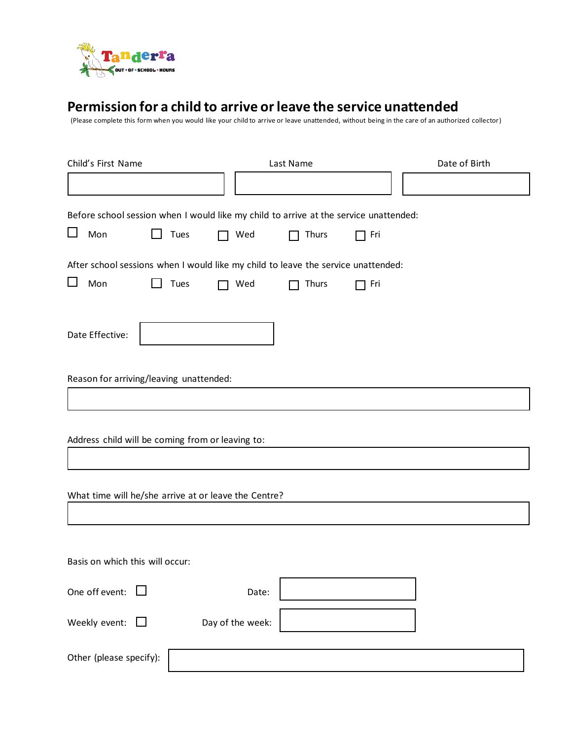

## **Permission for a child to arrive or leave the service unattended**

(Please complete this form when you would like your child to arrive or leave unattended, without being in the care of an authorized collector)

| Child's First Name                               |                                                                                       | Last Name    |     | Date of Birth |
|--------------------------------------------------|---------------------------------------------------------------------------------------|--------------|-----|---------------|
|                                                  |                                                                                       |              |     |               |
|                                                  | Before school session when I would like my child to arrive at the service unattended: |              |     |               |
| $\Box$<br>Mon<br>$\mathsf{L}$                    | Tues<br>Wed                                                                           | <b>Thurs</b> | Fri |               |
|                                                  | After school sessions when I would like my child to leave the service unattended:     |              |     |               |
| $\Box$<br>Mon                                    | Tues<br>Wed                                                                           | <b>Thurs</b> | Fri |               |
| Date Effective:                                  |                                                                                       |              |     |               |
| Reason for arriving/leaving unattended:          |                                                                                       |              |     |               |
| Address child will be coming from or leaving to: |                                                                                       |              |     |               |
|                                                  | What time will he/she arrive at or leave the Centre?                                  |              |     |               |
| Basis on which this will occur:                  |                                                                                       |              |     |               |
| One off event:                                   | Date:                                                                                 |              |     |               |
| Weekly event:<br>$\Box$                          | Day of the week:                                                                      |              |     |               |
| Other (please specify):                          |                                                                                       |              |     |               |